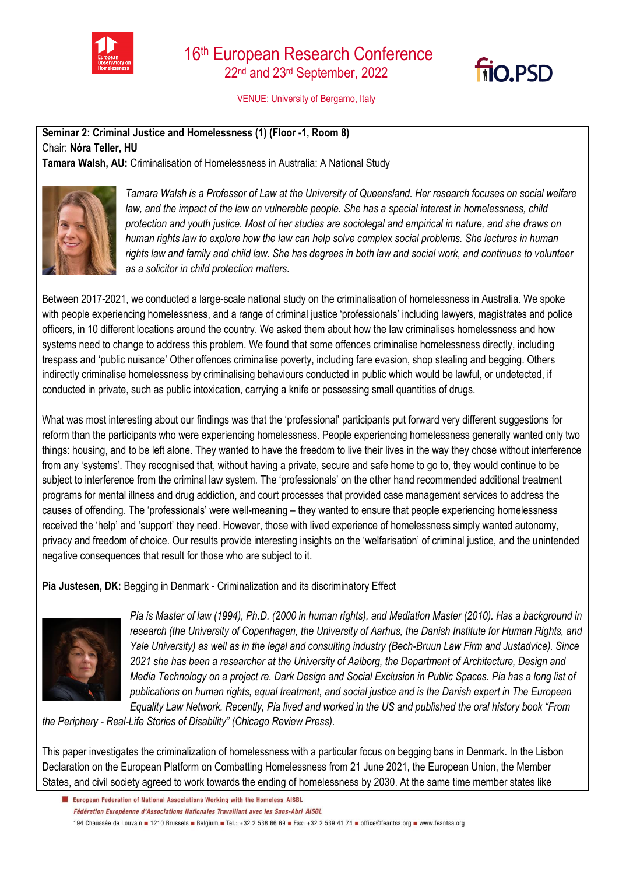



VENUE: University of Bergamo, Italy

**Seminar 2: Criminal Justice and Homelessness (1) (Floor -1, Room 8)**  Chair: **Nóra Teller, HU**

**Tamara Walsh, AU:** Criminalisation of Homelessness in Australia: A National Study



*Tamara Walsh is a Professor of Law at the University of Queensland. Her research focuses on social welfare*  law, and the impact of the law on vulnerable people. She has a special interest in homelessness, child *protection and youth justice. Most of her studies are sociolegal and empirical in nature, and she draws on human rights law to explore how the law can help solve complex social problems. She lectures in human rights law and family and child law. She has degrees in both law and social work, and continues to volunteer as a solicitor in child protection matters.*

Between 2017-2021, we conducted a large-scale national study on the criminalisation of homelessness in Australia. We spoke with people experiencing homelessness, and a range of criminal justice 'professionals' including lawyers, magistrates and police officers, in 10 different locations around the country. We asked them about how the law criminalises homelessness and how systems need to change to address this problem. We found that some offences criminalise homelessness directly, including trespass and 'public nuisance' Other offences criminalise poverty, including fare evasion, shop stealing and begging. Others indirectly criminalise homelessness by criminalising behaviours conducted in public which would be lawful, or undetected, if conducted in private, such as public intoxication, carrying a knife or possessing small quantities of drugs.

What was most interesting about our findings was that the 'professional' participants put forward very different suggestions for reform than the participants who were experiencing homelessness. People experiencing homelessness generally wanted only two things: housing, and to be left alone. They wanted to have the freedom to live their lives in the way they chose without interference from any 'systems'. They recognised that, without having a private, secure and safe home to go to, they would continue to be subject to interference from the criminal law system. The 'professionals' on the other hand recommended additional treatment programs for mental illness and drug addiction, and court processes that provided case management services to address the causes of offending. The 'professionals' were well-meaning – they wanted to ensure that people experiencing homelessness received the 'help' and 'support' they need. However, those with lived experience of homelessness simply wanted autonomy, privacy and freedom of choice. Our results provide interesting insights on the 'welfarisation' of criminal justice, and the unintended negative consequences that result for those who are subject to it.

**Pia Justesen, DK:** Begging in Denmark - Criminalization and its discriminatory Effect



*Pia is Master of law (1994), Ph.D. (2000 in human rights), and Mediation Master (2010). Has a background in*  research (the University of Copenhagen, the University of Aarhus, the Danish Institute for Human Rights, and *Yale University) as well as in the legal and consulting industry (Bech-Bruun Law Firm and Justadvice). Since 2021 she has been a researcher at the University of Aalborg, the Department of Architecture, Design and Media Technology on a project re. Dark Design and Social Exclusion in Public Spaces. Pia has a long list of publications on human rights, equal treatment, and social justice and is the Danish expert in The European Equality Law Network. Recently, Pia lived and worked in the US and published the oral history book "From* 

*the Periphery - Real-Life Stories of Disability" (Chicago Review Press).*

This paper investigates the criminalization of homelessness with a particular focus on begging bans in Denmark. In the Lisbon Declaration on the European Platform on Combatting Homelessness from 21 June 2021, the European Union, the Member States, and civil society agreed to work towards the ending of homelessness by 2030. At the same time member states like